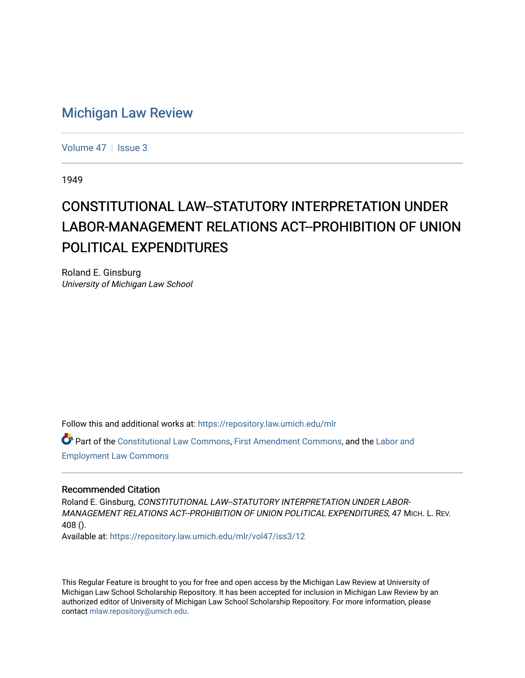## [Michigan Law Review](https://repository.law.umich.edu/mlr)

[Volume 47](https://repository.law.umich.edu/mlr/vol47) | [Issue 3](https://repository.law.umich.edu/mlr/vol47/iss3)

1949

## CONSTITUTIONAL LAW--STATUTORY INTERPRETATION UNDER LABOR-MANAGEMENT RELATIONS ACT--PROHIBITION OF UNION POLITICAL EXPENDITURES

Roland E. Ginsburg University of Michigan Law School

Follow this and additional works at: [https://repository.law.umich.edu/mlr](https://repository.law.umich.edu/mlr?utm_source=repository.law.umich.edu%2Fmlr%2Fvol47%2Fiss3%2F12&utm_medium=PDF&utm_campaign=PDFCoverPages) 

Part of the [Constitutional Law Commons,](http://network.bepress.com/hgg/discipline/589?utm_source=repository.law.umich.edu%2Fmlr%2Fvol47%2Fiss3%2F12&utm_medium=PDF&utm_campaign=PDFCoverPages) [First Amendment Commons,](http://network.bepress.com/hgg/discipline/1115?utm_source=repository.law.umich.edu%2Fmlr%2Fvol47%2Fiss3%2F12&utm_medium=PDF&utm_campaign=PDFCoverPages) and the [Labor and](http://network.bepress.com/hgg/discipline/909?utm_source=repository.law.umich.edu%2Fmlr%2Fvol47%2Fiss3%2F12&utm_medium=PDF&utm_campaign=PDFCoverPages) [Employment Law Commons](http://network.bepress.com/hgg/discipline/909?utm_source=repository.law.umich.edu%2Fmlr%2Fvol47%2Fiss3%2F12&utm_medium=PDF&utm_campaign=PDFCoverPages)

## Recommended Citation

Roland E. Ginsburg, CONSTITUTIONAL LAW--STATUTORY INTERPRETATION UNDER LABOR-MANAGEMENT RELATIONS ACT--PROHIBITION OF UNION POLITICAL EXPENDITURES, 47 MICH. L. REV. 408 ().

Available at: [https://repository.law.umich.edu/mlr/vol47/iss3/12](https://repository.law.umich.edu/mlr/vol47/iss3/12?utm_source=repository.law.umich.edu%2Fmlr%2Fvol47%2Fiss3%2F12&utm_medium=PDF&utm_campaign=PDFCoverPages) 

This Regular Feature is brought to you for free and open access by the Michigan Law Review at University of Michigan Law School Scholarship Repository. It has been accepted for inclusion in Michigan Law Review by an authorized editor of University of Michigan Law School Scholarship Repository. For more information, please contact [mlaw.repository@umich.edu](mailto:mlaw.repository@umich.edu).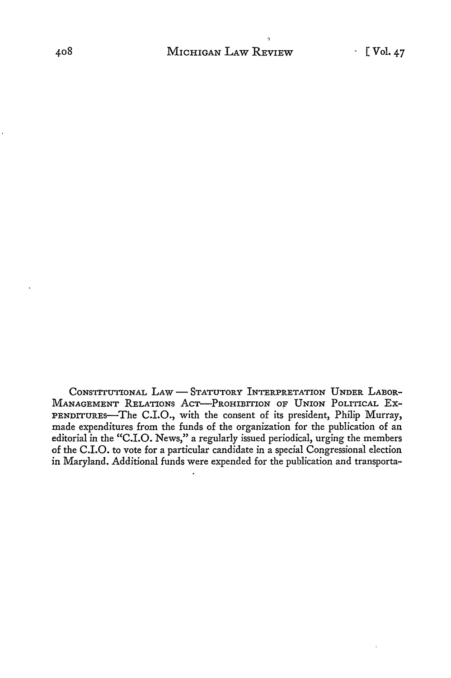CONSTITUTIONAL LAW - STATUTORY INTERPRETATION UNDER LABOR-MANAGEMENT RELATIONS AcT-PRoHIBITION OF UNION PoLITICAL Ex-PENDITURES-The C.I.O., with the consent of its president, Philip Murray, made expenditures from the funds of the organization for the publication of an editorial in the "C.I.O. News," a regularly issued periodical, urging the members of the C.I.O. to vote for a particular candidate in a special Congressional election in Maryland. Additional funds were expended for the publication and transporta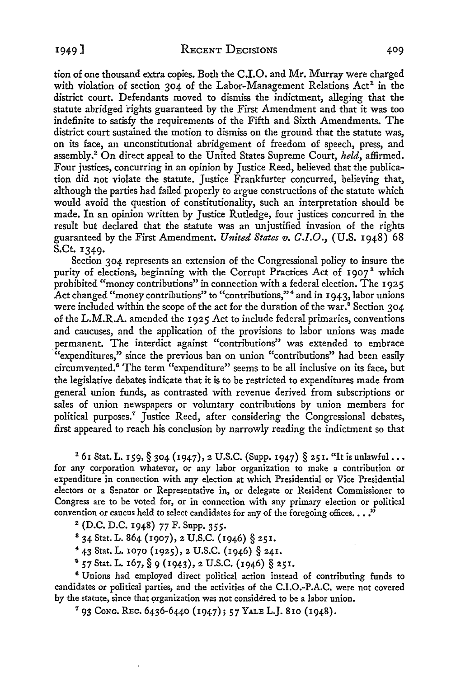tion of one thousand extra copies. Both the C.I.O. and Mr. Murray were charged with violation of section  $304$  of the Labor-Management Relations  $Act<sup>1</sup>$  in the district court. Defendants moved to dismiss the indictment, alleging that the statute abridged rights guaranteed by the First Amendment and that it was too indefinite to satisfy the requirements of the Fifth and Sixth Amendments. The district court sustained the motion to dismiss on the ground that the statute was, on its face, an unconstitutional abridgement of freedom of speech, press, and assembly.<sup>2</sup>On direct appeal to the United States Supreme Court, *held,* affirmed. Four justices, concurring in an opinion by Justice Reed, believed that the publication did not violate the statute. Justice Frankfurter concurred, believing that, although the parties had failed properly to argue constructions of the statute which would avoid the question of constitutionality, such an interpretation should be made. In an opinion written by Justice Rutledge, four justices concurred in the result but declared that the statute was an unjustified invasion of the rights guaranteed by the First Amendment. *United States v. C.I.O.*, *(U.S. 1948)* 68 S.Ct. 1349.

Section 304 represents an extension of the Congressional policy to insure the purity of elections, beginning with the Corrupt Practices Act of 1907<sup>3</sup> which prohibited "money contributions" in connection with a federal election. The 1925 Act changed "money contributions" to "contributions,"<sup>4</sup> and in 1943, labor unions were included within the scope of the act for the duration of the war.<sup>5</sup> Section 304 of the L.M.R.A. amended the I 92 *5* Act to include federal primaries, conventions and caucuses, and the application of the provisions to labor unions was made permanent. The interdict against "contributions" was extended to embrace '"expenditures," since the previous ban on union "contributions" had been easily circumvented.<sup>6</sup> The term "expenditure" seems to be all inclusive on its face, but the legislative debates indicate that it is to be restricted to expenditures made from general union funds, as contrasted with revenue derived from subscriptions or sales of union newspapers or voluntary contributions by union members for political purposes.<sup>7</sup> Justice Reed, after considering the Congressional debates, first appeared to reach his conclusion by narrowly reading the indictment so that

<sup>1</sup> 61 Stat. L. 159, § 304 (1947), 2 U.S.C. (Supp. 1947) § 251. "It is unlawful... for any corporation whatever, or any labor organization to make a contribution or expenditure in connection with any election at which Presidential or Vice Presidential electors or a Senator or Representative in, or delegate or Resident Commissioner to Congress are to be voted for, or in connection with any primary election or political convention or caucus held to select candidates for any of the foregoing offices. . . ."

- 2 (D.C. D.C. 1948) 77 F. Supp. 355.
- <sup>8</sup> 34 Stat. L. 864 (1907), 2 U.S.C. (1946) § 251.<br><sup>4</sup> 43 Stat. L. 1070 (1925), 2 U.S.C. (1946) § 241.
- 
- $^{5}$  57 Stat. L. 167,  $\S$  9 (1943), 2 U.S.C. (1946)  $\S$  251.

<sup>6</sup>Unions had employed direct political action instead of contributing funds to candidates or political parties, and the activities of the C.I.0.-P.A.C. were not covered by the statute, since that organization was not considered to be a labor union.

7 93 CoNG. REc. 6436-6440 (1947); 57 YALE L.J. 810 (1948).